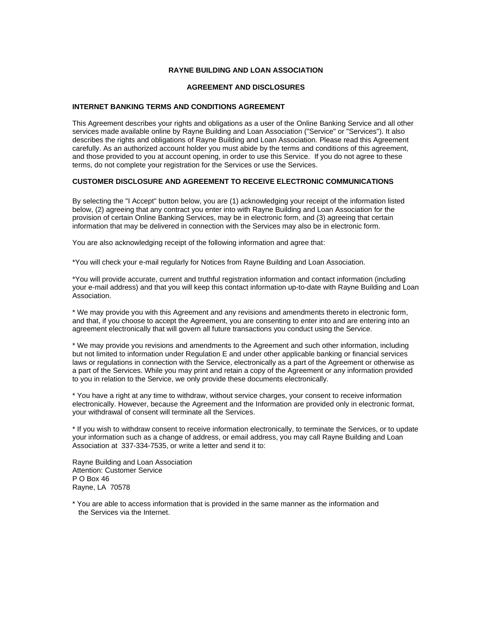## **RAYNE BUILDING AND LOAN ASSOCIATION**

#### **AGREEMENT AND DISCLOSURES**

#### **INTERNET BANKING TERMS AND CONDITIONS AGREEMENT**

This Agreement describes your rights and obligations as a user of the Online Banking Service and all other services made available online by Rayne Building and Loan Association ("Service" or "Services"). It also describes the rights and obligations of Rayne Building and Loan Association. Please read this Agreement carefully. As an authorized account holder you must abide by the terms and conditions of this agreement, and those provided to you at account opening, in order to use this Service. If you do not agree to these terms, do not complete your registration for the Services or use the Services.

## **CUSTOMER DISCLOSURE AND AGREEMENT TO RECEIVE ELECTRONIC COMMUNICATIONS**

By selecting the "I Accept" button below, you are (1) acknowledging your receipt of the information listed below, (2) agreeing that any contract you enter into with Rayne Building and Loan Association for the provision of certain Online Banking Services, may be in electronic form, and (3) agreeing that certain information that may be delivered in connection with the Services may also be in electronic form.

You are also acknowledging receipt of the following information and agree that:

\*You will check your e-mail regularly for Notices from Rayne Building and Loan Association.

\*You will provide accurate, current and truthful registration information and contact information (including your e-mail address) and that you will keep this contact information up-to-date with Rayne Building and Loan Association.

\* We may provide you with this Agreement and any revisions and amendments thereto in electronic form, and that, if you choose to accept the Agreement, you are consenting to enter into and are entering into an agreement electronically that will govern all future transactions you conduct using the Service.

\* We may provide you revisions and amendments to the Agreement and such other information, including but not limited to information under Regulation E and under other applicable banking or financial services laws or regulations in connection with the Service, electronically as a part of the Agreement or otherwise as a part of the Services. While you may print and retain a copy of the Agreement or any information provided to you in relation to the Service, we only provide these documents electronically.

\* You have a right at any time to withdraw, without service charges, your consent to receive information electronically. However, because the Agreement and the Information are provided only in electronic format, your withdrawal of consent will terminate all the Services.

\* If you wish to withdraw consent to receive information electronically, to terminate the Services, or to update your information such as a change of address, or email address, you may call Rayne Building and Loan Association at 337-334-7535, or write a letter and send it to:

Rayne Building and Loan Association Attention: Customer Service P O Box 46 Rayne, LA 70578

\* You are able to access information that is provided in the same manner as the information and the Services via the Internet.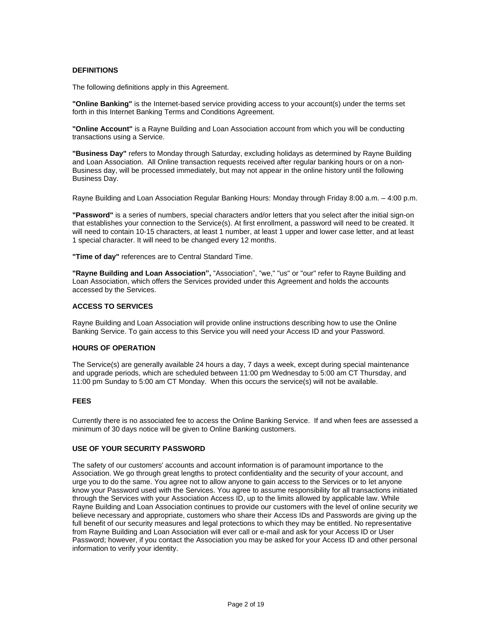## **DEFINITIONS**

The following definitions apply in this Agreement.

**"Online Banking"** is the Internet-based service providing access to your account(s) under the terms set forth in this Internet Banking Terms and Conditions Agreement.

**"Online Account"** is a Rayne Building and Loan Association account from which you will be conducting transactions using a Service.

**"Business Day"** refers to Monday through Saturday, excluding holidays as determined by Rayne Building and Loan Association. All Online transaction requests received after regular banking hours or on a non-Business day, will be processed immediately, but may not appear in the online history until the following Business Day.

Rayne Building and Loan Association Regular Banking Hours: Monday through Friday 8:00 a.m. – 4:00 p.m.

**"Password"** is a series of numbers, special characters and/or letters that you select after the initial sign-on that establishes your connection to the Service(s). At first enrollment, a password will need to be created. It will need to contain 10-15 characters, at least 1 number, at least 1 upper and lower case letter, and at least 1 special character. It will need to be changed every 12 months.

**"Time of day"** references are to Central Standard Time.

**"Rayne Building and Loan Association",** "Association", "we," "us" or "our" refer to Rayne Building and Loan Association, which offers the Services provided under this Agreement and holds the accounts accessed by the Services.

## **ACCESS TO SERVICES**

Rayne Building and Loan Association will provide online instructions describing how to use the Online Banking Service. To gain access to this Service you will need your Access ID and your Password.

#### **HOURS OF OPERATION**

The Service(s) are generally available 24 hours a day, 7 days a week, except during special maintenance and upgrade periods, which are scheduled between 11:00 pm Wednesday to 5:00 am CT Thursday, and 11:00 pm Sunday to 5:00 am CT Monday. When this occurs the service(s) will not be available.

#### **FEES**

Currently there is no associated fee to access the Online Banking Service. If and when fees are assessed a minimum of 30 days notice will be given to Online Banking customers.

## **USE OF YOUR SECURITY PASSWORD**

The safety of our customers' accounts and account information is of paramount importance to the Association. We go through great lengths to protect confidentiality and the security of your account, and urge you to do the same. You agree not to allow anyone to gain access to the Services or to let anyone know your Password used with the Services. You agree to assume responsibility for all transactions initiated through the Services with your Association Access ID, up to the limits allowed by applicable law. While Rayne Building and Loan Association continues to provide our customers with the level of online security we believe necessary and appropriate, customers who share their Access IDs and Passwords are giving up the full benefit of our security measures and legal protections to which they may be entitled. No representative from Rayne Building and Loan Association will ever call or e-mail and ask for your Access ID or User Password; however, if you contact the Association you may be asked for your Access ID and other personal information to verify your identity.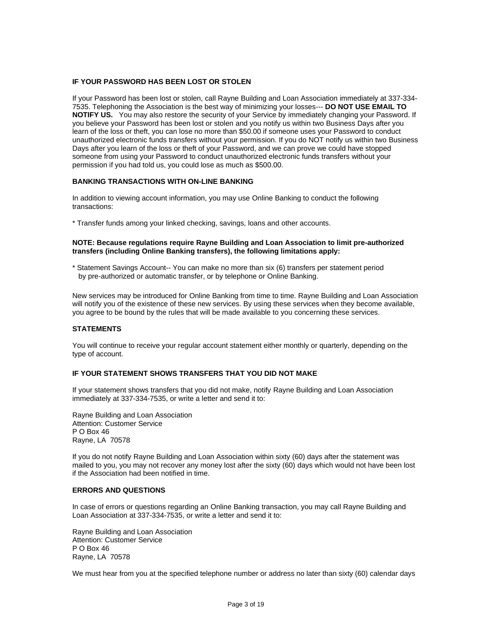## **IF YOUR PASSWORD HAS BEEN LOST OR STOLEN**

If your Password has been lost or stolen, call Rayne Building and Loan Association immediately at 337-334- 7535. Telephoning the Association is the best way of minimizing your losses--- **DO NOT USE EMAIL TO NOTIFY US.** You may also restore the security of your Service by immediately changing your Password. If you believe your Password has been lost or stolen and you notify us within two Business Days after you learn of the loss or theft, you can lose no more than \$50.00 if someone uses your Password to conduct unauthorized electronic funds transfers without your permission. If you do NOT notify us within two Business Days after you learn of the loss or theft of your Password, and we can prove we could have stopped someone from using your Password to conduct unauthorized electronic funds transfers without your permission if you had told us, you could lose as much as \$500.00.

## **BANKING TRANSACTIONS WITH ON-LINE BANKING**

In addition to viewing account information, you may use Online Banking to conduct the following transactions:

\* Transfer funds among your linked checking, savings, loans and other accounts.

#### **NOTE: Because regulations require Rayne Building and Loan Association to limit pre-authorized transfers (including Online Banking transfers), the following limitations apply:**

\* Statement Savings Account-- You can make no more than six (6) transfers per statement period by pre-authorized or automatic transfer, or by telephone or Online Banking.

New services may be introduced for Online Banking from time to time. Rayne Building and Loan Association will notify you of the existence of these new services. By using these services when they become available, you agree to be bound by the rules that will be made available to you concerning these services.

#### **STATEMENTS**

You will continue to receive your regular account statement either monthly or quarterly, depending on the type of account.

#### **IF YOUR STATEMENT SHOWS TRANSFERS THAT YOU DID NOT MAKE**

If your statement shows transfers that you did not make, notify Rayne Building and Loan Association immediately at 337-334-7535, or write a letter and send it to:

Rayne Building and Loan Association Attention: Customer Service P O Box 46 Rayne, LA 70578

If you do not notify Rayne Building and Loan Association within sixty (60) days after the statement was mailed to you, you may not recover any money lost after the sixty (60) days which would not have been lost if the Association had been notified in time.

#### **ERRORS AND QUESTIONS**

In case of errors or questions regarding an Online Banking transaction, you may call Rayne Building and Loan Association at 337-334-7535, or write a letter and send it to:

Rayne Building and Loan Association Attention: Customer Service P O Box 46 Rayne, LA 70578

We must hear from you at the specified telephone number or address no later than sixty (60) calendar days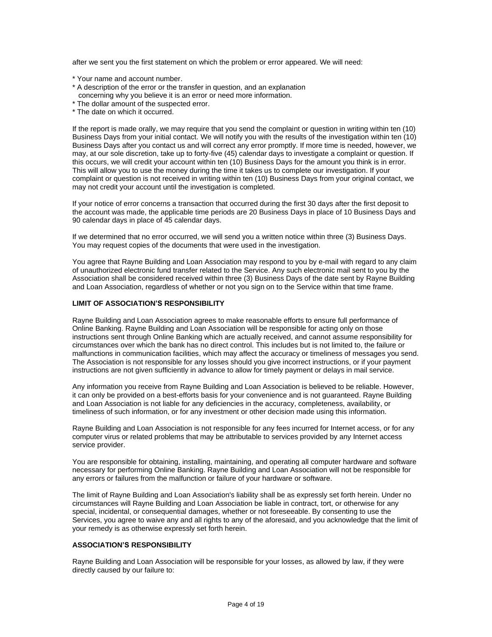after we sent you the first statement on which the problem or error appeared. We will need:

- \* Your name and account number.
- \* A description of the error or the transfer in question, and an explanation
- concerning why you believe it is an error or need more information.
- \* The dollar amount of the suspected error.
- \* The date on which it occurred.

If the report is made orally, we may require that you send the complaint or question in writing within ten (10) Business Days from your initial contact. We will notify you with the results of the investigation within ten (10) Business Days after you contact us and will correct any error promptly. If more time is needed, however, we may, at our sole discretion, take up to forty-five (45) calendar days to investigate a complaint or question. If this occurs, we will credit your account within ten (10) Business Days for the amount you think is in error. This will allow you to use the money during the time it takes us to complete our investigation. If your complaint or question is not received in writing within ten (10) Business Days from your original contact, we may not credit your account until the investigation is completed.

If your notice of error concerns a transaction that occurred during the first 30 days after the first deposit to the account was made, the applicable time periods are 20 Business Days in place of 10 Business Days and 90 calendar days in place of 45 calendar days.

If we determined that no error occurred, we will send you a written notice within three (3) Business Days. You may request copies of the documents that were used in the investigation.

You agree that Rayne Building and Loan Association may respond to you by e-mail with regard to any claim of unauthorized electronic fund transfer related to the Service. Any such electronic mail sent to you by the Association shall be considered received within three (3) Business Days of the date sent by Rayne Building and Loan Association, regardless of whether or not you sign on to the Service within that time frame.

## **LIMIT OF ASSOCIATION'S RESPONSIBILITY**

Rayne Building and Loan Association agrees to make reasonable efforts to ensure full performance of Online Banking. Rayne Building and Loan Association will be responsible for acting only on those instructions sent through Online Banking which are actually received, and cannot assume responsibility for circumstances over which the bank has no direct control. This includes but is not limited to, the failure or malfunctions in communication facilities, which may affect the accuracy or timeliness of messages you send. The Association is not responsible for any losses should you give incorrect instructions, or if your payment instructions are not given sufficiently in advance to allow for timely payment or delays in mail service.

Any information you receive from Rayne Building and Loan Association is believed to be reliable. However, it can only be provided on a best-efforts basis for your convenience and is not guaranteed. Rayne Building and Loan Association is not liable for any deficiencies in the accuracy, completeness, availability, or timeliness of such information, or for any investment or other decision made using this information.

Rayne Building and Loan Association is not responsible for any fees incurred for Internet access, or for any computer virus or related problems that may be attributable to services provided by any Internet access service provider.

You are responsible for obtaining, installing, maintaining, and operating all computer hardware and software necessary for performing Online Banking. Rayne Building and Loan Association will not be responsible for any errors or failures from the malfunction or failure of your hardware or software.

The limit of Rayne Building and Loan Association's liability shall be as expressly set forth herein. Under no circumstances will Rayne Building and Loan Association be liable in contract, tort, or otherwise for any special, incidental, or consequential damages, whether or not foreseeable. By consenting to use the Services, you agree to waive any and all rights to any of the aforesaid, and you acknowledge that the limit of your remedy is as otherwise expressly set forth herein.

## **ASSOCIATION'S RESPONSIBILITY**

Rayne Building and Loan Association will be responsible for your losses, as allowed by law, if they were directly caused by our failure to: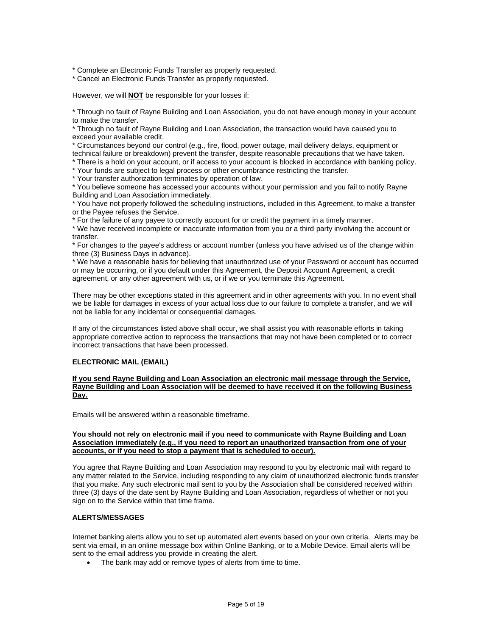\* Complete an Electronic Funds Transfer as properly requested.

\* Cancel an Electronic Funds Transfer as properly requested.

However, we will **NOT** be responsible for your losses if:

\* Through no fault of Rayne Building and Loan Association, you do not have enough money in your account to make the transfer.

\* Through no fault of Rayne Building and Loan Association, the transaction would have caused you to exceed your available credit.

\* Circumstances beyond our control (e.g., fire, flood, power outage, mail delivery delays, equipment or technical failure or breakdown) prevent the transfer, despite reasonable precautions that we have taken.

\* There is a hold on your account, or if access to your account is blocked in accordance with banking policy.

\* Your funds are subject to legal process or other encumbrance restricting the transfer.

\* Your transfer authorization terminates by operation of law.

\* You believe someone has accessed your accounts without your permission and you fail to notify Rayne Building and Loan Association immediately.

\* You have not properly followed the scheduling instructions, included in this Agreement, to make a transfer or the Payee refuses the Service.

\* For the failure of any payee to correctly account for or credit the payment in a timely manner.

\* We have received incomplete or inaccurate information from you or a third party involving the account or transfer.

\* For changes to the payee's address or account number (unless you have advised us of the change within three (3) Business Days in advance).

\* We have a reasonable basis for believing that unauthorized use of your Password or account has occurred or may be occurring, or if you default under this Agreement, the Deposit Account Agreement, a credit agreement, or any other agreement with us, or if we or you terminate this Agreement.

There may be other exceptions stated in this agreement and in other agreements with you. In no event shall we be liable for damages in excess of your actual loss due to our failure to complete a transfer, and we will not be liable for any incidental or consequential damages.

If any of the circumstances listed above shall occur, we shall assist you with reasonable efforts in taking appropriate corrective action to reprocess the transactions that may not have been completed or to correct incorrect transactions that have been processed.

#### **ELECTRONIC MAIL (EMAIL)**

**If you send Rayne Building and Loan Association an electronic mail message through the Service, Rayne Building and Loan Association will be deemed to have received it on the following Business Day.**

Emails will be answered within a reasonable timeframe.

#### **You should not rely on electronic mail if you need to communicate with Rayne Building and Loan Association immediately (e.g., if you need to report an unauthorized transaction from one of your accounts, or if you need to stop a payment that is scheduled to occur).**

You agree that Rayne Building and Loan Association may respond to you by electronic mail with regard to any matter related to the Service, including responding to any claim of unauthorized electronic funds transfer that you make. Any such electronic mail sent to you by the Association shall be considered received within three (3) days of the date sent by Rayne Building and Loan Association, regardless of whether or not you sign on to the Service within that time frame.

# **ALERTS/MESSAGES**

Internet banking alerts allow you to set up automated alert events based on your own criteria. Alerts may be sent via email, in an online message box within Online Banking, or to a Mobile Device. Email alerts will be sent to the email address you provide in creating the alert.

• The bank may add or remove types of alerts from time to time.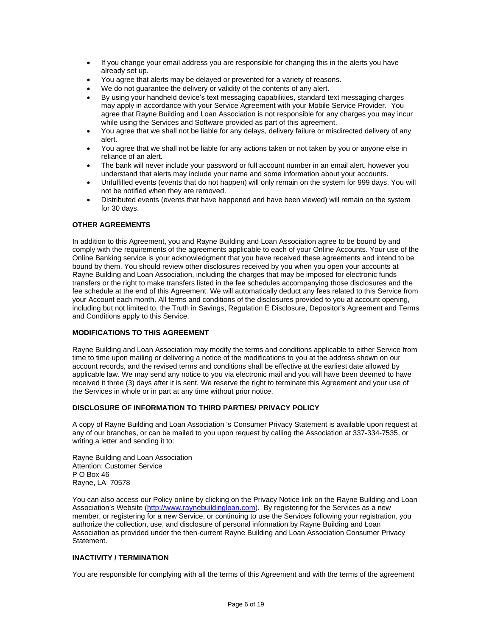- If you change your email address you are responsible for changing this in the alerts you have already set up.
- You agree that alerts may be delayed or prevented for a variety of reasons.
- We do not guarantee the delivery or validity of the contents of any alert.
- By using your handheld device's text messaging capabilities, standard text messaging charges may apply in accordance with your Service Agreement with your Mobile Service Provider. You agree that Rayne Building and Loan Association is not responsible for any charges you may incur while using the Services and Software provided as part of this agreement.
- You agree that we shall not be liable for any delays, delivery failure or misdirected delivery of any alert.
- You agree that we shall not be liable for any actions taken or not taken by you or anyone else in reliance of an alert.
- The bank will never include your password or full account number in an email alert, however you understand that alerts may include your name and some information about your accounts.
- Unfulfilled events (events that do not happen) will only remain on the system for 999 days. You will not be notified when they are removed.
- Distributed events (events that have happened and have been viewed) will remain on the system for 30 days.

## **OTHER AGREEMENTS**

In addition to this Agreement, you and Rayne Building and Loan Association agree to be bound by and comply with the requirements of the agreements applicable to each of your Online Accounts. Your use of the Online Banking service is your acknowledgment that you have received these agreements and intend to be bound by them. You should review other disclosures received by you when you open your accounts at Rayne Building and Loan Association, including the charges that may be imposed for electronic funds transfers or the right to make transfers listed in the fee schedules accompanying those disclosures and the fee schedule at the end of this Agreement. We will automatically deduct any fees related to this Service from your Account each month. All terms and conditions of the disclosures provided to you at account opening, including but not limited to, the Truth in Savings, Regulation E Disclosure, Depositor's Agreement and Terms and Conditions apply to this Service.

## **MODIFICATIONS TO THIS AGREEMENT**

Rayne Building and Loan Association may modify the terms and conditions applicable to either Service from time to time upon mailing or delivering a notice of the modifications to you at the address shown on our account records, and the revised terms and conditions shall be effective at the earliest date allowed by applicable law. We may send any notice to you via electronic mail and you will have been deemed to have received it three (3) days after it is sent. We reserve the right to terminate this Agreement and your use of the Services in whole or in part at any time without prior notice.

## **DISCLOSURE OF INFORMATION TO THIRD PARTIES/ PRIVACY POLICY**

A copy of Rayne Building and Loan Association 's Consumer Privacy Statement is available upon request at any of our branches, or can be mailed to you upon request by calling the Association at 337-334-7535, or writing a letter and sending it to:

Rayne Building and Loan Association Attention: Customer Service P O Box 46 Rayne, LA 70578

You can also access our Policy online by clicking on the Privacy Notice link on the Rayne Building and Loan Association's Website [\(http://www.raynebuildingloan.com\)](http://www.raynebuildingloan.com/). By registering for the Services as a new member, or registering for a new Service, or continuing to use the Services following your registration, you authorize the collection, use, and disclosure of personal information by Rayne Building and Loan Association as provided under the then-current Rayne Building and Loan Association Consumer Privacy Statement.

# **INACTIVITY / TERMINATION**

You are responsible for complying with all the terms of this Agreement and with the terms of the agreement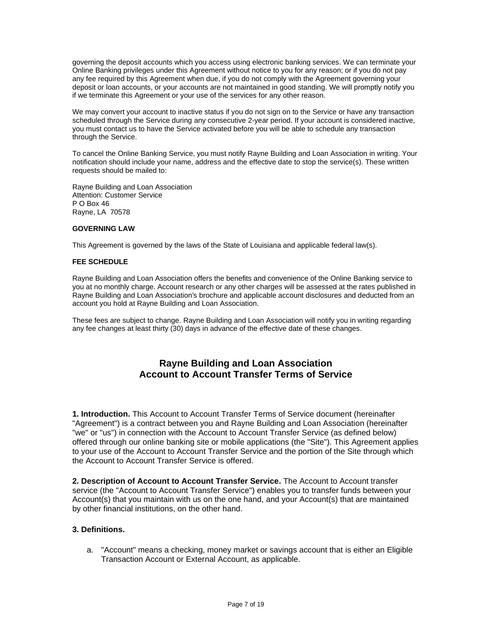governing the deposit accounts which you access using electronic banking services. We can terminate your Online Banking privileges under this Agreement without notice to you for any reason; or if you do not pay any fee required by this Agreement when due, if you do not comply with the Agreement governing your deposit or loan accounts, or your accounts are not maintained in good standing. We will promptly notify you if we terminate this Agreement or your use of the services for any other reason.

We may convert your account to inactive status if you do not sign on to the Service or have any transaction scheduled through the Service during any consecutive 2-year period. If your account is considered inactive, you must contact us to have the Service activated before you will be able to schedule any transaction through the Service.

To cancel the Online Banking Service, you must notify Rayne Building and Loan Association in writing. Your notification should include your name, address and the effective date to stop the service(s). These written requests should be mailed to:

Rayne Building and Loan Association Attention: Customer Service P O Box 46 Rayne, LA 70578

## **GOVERNING LAW**

This Agreement is governed by the laws of the State of Louisiana and applicable federal law(s).

## **FEE SCHEDULE**

Rayne Building and Loan Association offers the benefits and convenience of the Online Banking service to you at no monthly charge. Account research or any other charges will be assessed at the rates published in Rayne Building and Loan Association's brochure and applicable account disclosures and deducted from an account you hold at Rayne Building and Loan Association.

These fees are subject to change. Rayne Building and Loan Association will notify you in writing regarding any fee changes at least thirty (30) days in advance of the effective date of these changes.

# **Rayne Building and Loan Association Account to Account Transfer Terms of Service**

**1. Introduction.** This Account to Account Transfer Terms of Service document (hereinafter "Agreement") is a contract between you and Rayne Building and Loan Association (hereinafter "we" or "us") in connection with the Account to Account Transfer Service (as defined below) offered through our online banking site or mobile applications (the "Site"). This Agreement applies to your use of the Account to Account Transfer Service and the portion of the Site through which the Account to Account Transfer Service is offered.

**2. Description of Account to Account Transfer Service.** The Account to Account transfer service (the "Account to Account Transfer Service") enables you to transfer funds between your Account(s) that you maintain with us on the one hand, and your Account(s) that are maintained by other financial institutions, on the other hand.

## **3. Definitions.**

a. "Account" means a checking, money market or savings account that is either an Eligible Transaction Account or External Account, as applicable.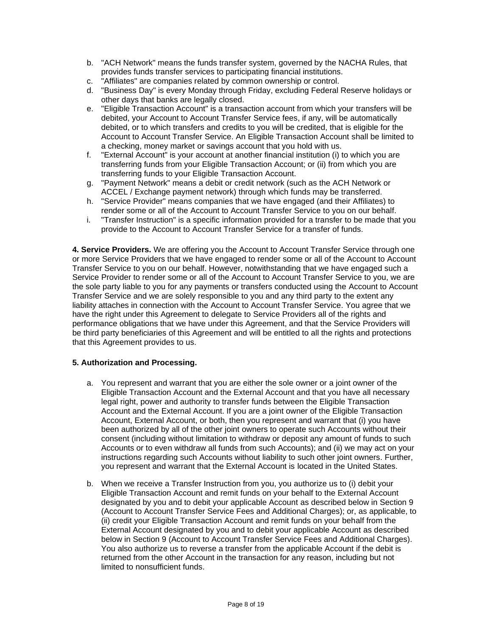- b. "ACH Network" means the funds transfer system, governed by the NACHA Rules, that provides funds transfer services to participating financial institutions.
- c. "Affiliates" are companies related by common ownership or control.
- d. "Business Day" is every Monday through Friday, excluding Federal Reserve holidays or other days that banks are legally closed.
- e. "Eligible Transaction Account" is a transaction account from which your transfers will be debited, your Account to Account Transfer Service fees, if any, will be automatically debited, or to which transfers and credits to you will be credited, that is eligible for the Account to Account Transfer Service. An Eligible Transaction Account shall be limited to a checking, money market or savings account that you hold with us.
- f. "External Account" is your account at another financial institution (i) to which you are transferring funds from your Eligible Transaction Account; or (ii) from which you are transferring funds to your Eligible Transaction Account.
- g. "Payment Network" means a debit or credit network (such as the ACH Network or ACCEL / Exchange payment network) through which funds may be transferred.
- h. "Service Provider" means companies that we have engaged (and their Affiliates) to render some or all of the Account to Account Transfer Service to you on our behalf.
- i. "Transfer Instruction" is a specific information provided for a transfer to be made that you provide to the Account to Account Transfer Service for a transfer of funds.

**4. Service Providers.** We are offering you the Account to Account Transfer Service through one or more Service Providers that we have engaged to render some or all of the Account to Account Transfer Service to you on our behalf. However, notwithstanding that we have engaged such a Service Provider to render some or all of the Account to Account Transfer Service to you, we are the sole party liable to you for any payments or transfers conducted using the Account to Account Transfer Service and we are solely responsible to you and any third party to the extent any liability attaches in connection with the Account to Account Transfer Service. You agree that we have the right under this Agreement to delegate to Service Providers all of the rights and performance obligations that we have under this Agreement, and that the Service Providers will be third party beneficiaries of this Agreement and will be entitled to all the rights and protections that this Agreement provides to us.

# **5. Authorization and Processing.**

- a. You represent and warrant that you are either the sole owner or a joint owner of the Eligible Transaction Account and the External Account and that you have all necessary legal right, power and authority to transfer funds between the Eligible Transaction Account and the External Account. If you are a joint owner of the Eligible Transaction Account, External Account, or both, then you represent and warrant that (i) you have been authorized by all of the other joint owners to operate such Accounts without their consent (including without limitation to withdraw or deposit any amount of funds to such Accounts or to even withdraw all funds from such Accounts); and (ii) we may act on your instructions regarding such Accounts without liability to such other joint owners. Further, you represent and warrant that the External Account is located in the United States.
- b. When we receive a Transfer Instruction from you, you authorize us to (i) debit your Eligible Transaction Account and remit funds on your behalf to the External Account designated by you and to debit your applicable Account as described below in Section 9 (Account to Account Transfer Service Fees and Additional Charges); or, as applicable, to (ii) credit your Eligible Transaction Account and remit funds on your behalf from the External Account designated by you and to debit your applicable Account as described below in Section 9 (Account to Account Transfer Service Fees and Additional Charges). You also authorize us to reverse a transfer from the applicable Account if the debit is returned from the other Account in the transaction for any reason, including but not limited to nonsufficient funds.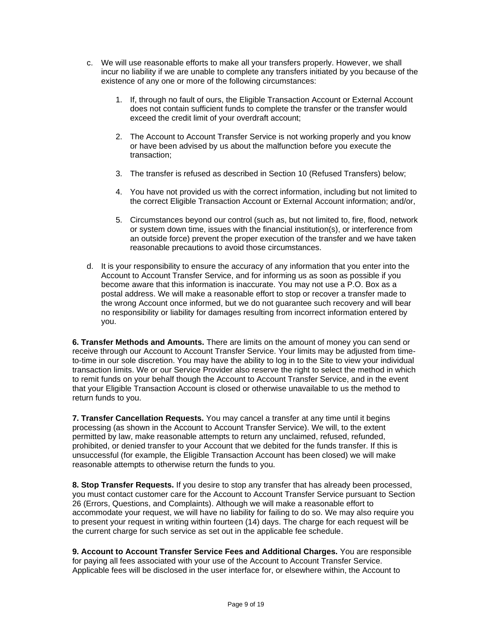- c. We will use reasonable efforts to make all your transfers properly. However, we shall incur no liability if we are unable to complete any transfers initiated by you because of the existence of any one or more of the following circumstances:
	- 1. If, through no fault of ours, the Eligible Transaction Account or External Account does not contain sufficient funds to complete the transfer or the transfer would exceed the credit limit of your overdraft account;
	- 2. The Account to Account Transfer Service is not working properly and you know or have been advised by us about the malfunction before you execute the transaction;
	- 3. The transfer is refused as described in Section 10 (Refused Transfers) below;
	- 4. You have not provided us with the correct information, including but not limited to the correct Eligible Transaction Account or External Account information; and/or,
	- 5. Circumstances beyond our control (such as, but not limited to, fire, flood, network or system down time, issues with the financial institution(s), or interference from an outside force) prevent the proper execution of the transfer and we have taken reasonable precautions to avoid those circumstances.
- d. It is your responsibility to ensure the accuracy of any information that you enter into the Account to Account Transfer Service, and for informing us as soon as possible if you become aware that this information is inaccurate. You may not use a P.O. Box as a postal address. We will make a reasonable effort to stop or recover a transfer made to the wrong Account once informed, but we do not guarantee such recovery and will bear no responsibility or liability for damages resulting from incorrect information entered by you.

**6. Transfer Methods and Amounts.** There are limits on the amount of money you can send or receive through our Account to Account Transfer Service. Your limits may be adjusted from timeto-time in our sole discretion. You may have the ability to log in to the Site to view your individual transaction limits. We or our Service Provider also reserve the right to select the method in which to remit funds on your behalf though the Account to Account Transfer Service, and in the event that your Eligible Transaction Account is closed or otherwise unavailable to us the method to return funds to you.

**7. Transfer Cancellation Requests.** You may cancel a transfer at any time until it begins processing (as shown in the Account to Account Transfer Service). We will, to the extent permitted by law, make reasonable attempts to return any unclaimed, refused, refunded, prohibited, or denied transfer to your Account that we debited for the funds transfer. If this is unsuccessful (for example, the Eligible Transaction Account has been closed) we will make reasonable attempts to otherwise return the funds to you.

**8. Stop Transfer Requests.** If you desire to stop any transfer that has already been processed, you must contact customer care for the Account to Account Transfer Service pursuant to Section 26 (Errors, Questions, and Complaints). Although we will make a reasonable effort to accommodate your request, we will have no liability for failing to do so. We may also require you to present your request in writing within fourteen (14) days. The charge for each request will be the current charge for such service as set out in the applicable fee schedule.

**9. Account to Account Transfer Service Fees and Additional Charges.** You are responsible for paying all fees associated with your use of the Account to Account Transfer Service. Applicable fees will be disclosed in the user interface for, or elsewhere within, the Account to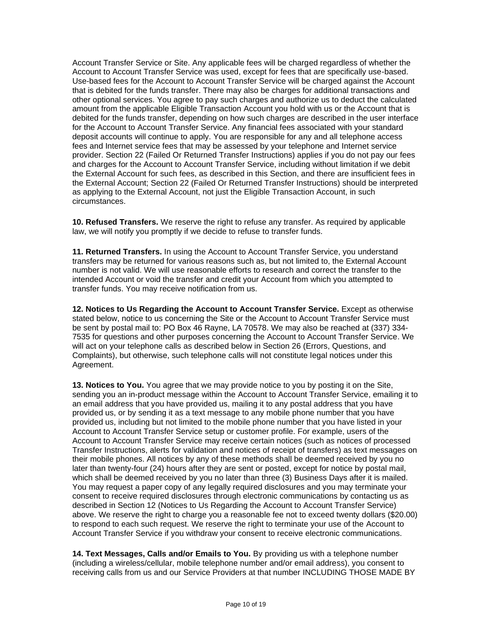Account Transfer Service or Site. Any applicable fees will be charged regardless of whether the Account to Account Transfer Service was used, except for fees that are specifically use-based. Use-based fees for the Account to Account Transfer Service will be charged against the Account that is debited for the funds transfer. There may also be charges for additional transactions and other optional services. You agree to pay such charges and authorize us to deduct the calculated amount from the applicable Eligible Transaction Account you hold with us or the Account that is debited for the funds transfer, depending on how such charges are described in the user interface for the Account to Account Transfer Service. Any financial fees associated with your standard deposit accounts will continue to apply. You are responsible for any and all telephone access fees and Internet service fees that may be assessed by your telephone and Internet service provider. Section 22 (Failed Or Returned Transfer Instructions) applies if you do not pay our fees and charges for the Account to Account Transfer Service, including without limitation if we debit the External Account for such fees, as described in this Section, and there are insufficient fees in the External Account; Section 22 (Failed Or Returned Transfer Instructions) should be interpreted as applying to the External Account, not just the Eligible Transaction Account, in such circumstances.

**10. Refused Transfers.** We reserve the right to refuse any transfer. As required by applicable law, we will notify you promptly if we decide to refuse to transfer funds.

**11. Returned Transfers.** In using the Account to Account Transfer Service, you understand transfers may be returned for various reasons such as, but not limited to, the External Account number is not valid. We will use reasonable efforts to research and correct the transfer to the intended Account or void the transfer and credit your Account from which you attempted to transfer funds. You may receive notification from us.

**12. Notices to Us Regarding the Account to Account Transfer Service.** Except as otherwise stated below, notice to us concerning the Site or the Account to Account Transfer Service must be sent by postal mail to: PO Box 46 Rayne, LA 70578. We may also be reached at (337) 334- 7535 for questions and other purposes concerning the Account to Account Transfer Service. We will act on your telephone calls as described below in Section 26 (Errors, Questions, and Complaints), but otherwise, such telephone calls will not constitute legal notices under this Agreement.

**13. Notices to You.** You agree that we may provide notice to you by posting it on the Site, sending you an in-product message within the Account to Account Transfer Service, emailing it to an email address that you have provided us, mailing it to any postal address that you have provided us, or by sending it as a text message to any mobile phone number that you have provided us, including but not limited to the mobile phone number that you have listed in your Account to Account Transfer Service setup or customer profile. For example, users of the Account to Account Transfer Service may receive certain notices (such as notices of processed Transfer Instructions, alerts for validation and notices of receipt of transfers) as text messages on their mobile phones. All notices by any of these methods shall be deemed received by you no later than twenty-four (24) hours after they are sent or posted, except for notice by postal mail, which shall be deemed received by you no later than three (3) Business Days after it is mailed. You may request a paper copy of any legally required disclosures and you may terminate your consent to receive required disclosures through electronic communications by contacting us as described in Section 12 (Notices to Us Regarding the Account to Account Transfer Service) above. We reserve the right to charge you a reasonable fee not to exceed twenty dollars (\$20.00) to respond to each such request. We reserve the right to terminate your use of the Account to Account Transfer Service if you withdraw your consent to receive electronic communications.

**14. Text Messages, Calls and/or Emails to You.** By providing us with a telephone number (including a wireless/cellular, mobile telephone number and/or email address), you consent to receiving calls from us and our Service Providers at that number INCLUDING THOSE MADE BY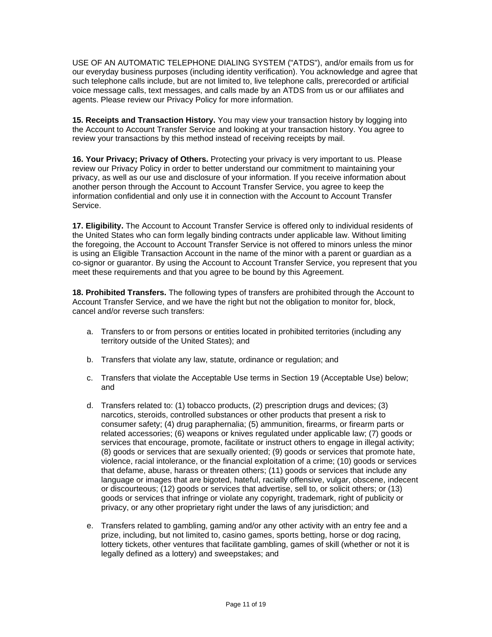USE OF AN AUTOMATIC TELEPHONE DIALING SYSTEM ("ATDS"), and/or emails from us for our everyday business purposes (including identity verification). You acknowledge and agree that such telephone calls include, but are not limited to, live telephone calls, prerecorded or artificial voice message calls, text messages, and calls made by an ATDS from us or our affiliates and agents. Please review our Privacy Policy for more information.

**15. Receipts and Transaction History.** You may view your transaction history by logging into the Account to Account Transfer Service and looking at your transaction history. You agree to review your transactions by this method instead of receiving receipts by mail.

**16. Your Privacy; Privacy of Others.** Protecting your privacy is very important to us. Please review our Privacy Policy in order to better understand our commitment to maintaining your privacy, as well as our use and disclosure of your information. If you receive information about another person through the Account to Account Transfer Service, you agree to keep the information confidential and only use it in connection with the Account to Account Transfer Service.

**17. Eligibility.** The Account to Account Transfer Service is offered only to individual residents of the United States who can form legally binding contracts under applicable law. Without limiting the foregoing, the Account to Account Transfer Service is not offered to minors unless the minor is using an Eligible Transaction Account in the name of the minor with a parent or guardian as a co-signor or guarantor. By using the Account to Account Transfer Service, you represent that you meet these requirements and that you agree to be bound by this Agreement.

**18. Prohibited Transfers.** The following types of transfers are prohibited through the Account to Account Transfer Service, and we have the right but not the obligation to monitor for, block, cancel and/or reverse such transfers:

- a. Transfers to or from persons or entities located in prohibited territories (including any territory outside of the United States); and
- b. Transfers that violate any law, statute, ordinance or regulation; and
- c. Transfers that violate the Acceptable Use terms in Section 19 (Acceptable Use) below; and
- d. Transfers related to: (1) tobacco products, (2) prescription drugs and devices; (3) narcotics, steroids, controlled substances or other products that present a risk to consumer safety; (4) drug paraphernalia; (5) ammunition, firearms, or firearm parts or related accessories; (6) weapons or knives regulated under applicable law; (7) goods or services that encourage, promote, facilitate or instruct others to engage in illegal activity; (8) goods or services that are sexually oriented; (9) goods or services that promote hate, violence, racial intolerance, or the financial exploitation of a crime; (10) goods or services that defame, abuse, harass or threaten others; (11) goods or services that include any language or images that are bigoted, hateful, racially offensive, vulgar, obscene, indecent or discourteous; (12) goods or services that advertise, sell to, or solicit others; or (13) goods or services that infringe or violate any copyright, trademark, right of publicity or privacy, or any other proprietary right under the laws of any jurisdiction; and
- e. Transfers related to gambling, gaming and/or any other activity with an entry fee and a prize, including, but not limited to, casino games, sports betting, horse or dog racing, lottery tickets, other ventures that facilitate gambling, games of skill (whether or not it is legally defined as a lottery) and sweepstakes; and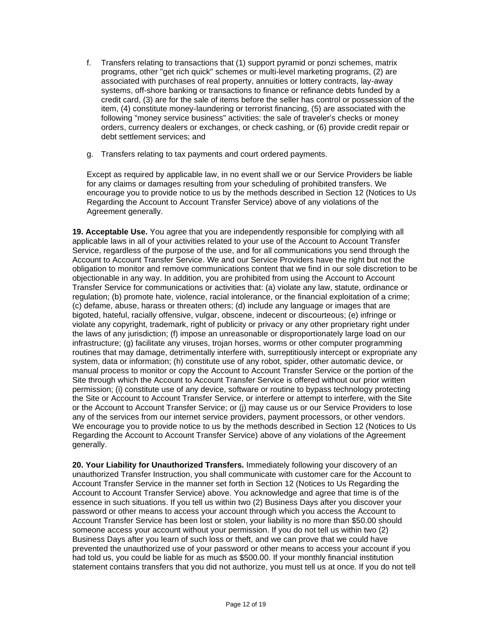- f. Transfers relating to transactions that (1) support pyramid or ponzi schemes, matrix programs, other "get rich quick" schemes or multi-level marketing programs, (2) are associated with purchases of real property, annuities or lottery contracts, lay-away systems, off-shore banking or transactions to finance or refinance debts funded by a credit card, (3) are for the sale of items before the seller has control or possession of the item, (4) constitute money-laundering or terrorist financing, (5) are associated with the following "money service business" activities: the sale of traveler's checks or money orders, currency dealers or exchanges, or check cashing, or (6) provide credit repair or debt settlement services; and
- g. Transfers relating to tax payments and court ordered payments.

Except as required by applicable law, in no event shall we or our Service Providers be liable for any claims or damages resulting from your scheduling of prohibited transfers. We encourage you to provide notice to us by the methods described in Section 12 (Notices to Us Regarding the Account to Account Transfer Service) above of any violations of the Agreement generally.

**19. Acceptable Use.** You agree that you are independently responsible for complying with all applicable laws in all of your activities related to your use of the Account to Account Transfer Service, regardless of the purpose of the use, and for all communications you send through the Account to Account Transfer Service. We and our Service Providers have the right but not the obligation to monitor and remove communications content that we find in our sole discretion to be objectionable in any way. In addition, you are prohibited from using the Account to Account Transfer Service for communications or activities that: (a) violate any law, statute, ordinance or regulation; (b) promote hate, violence, racial intolerance, or the financial exploitation of a crime; (c) defame, abuse, harass or threaten others; (d) include any language or images that are bigoted, hateful, racially offensive, vulgar, obscene, indecent or discourteous; (e) infringe or violate any copyright, trademark, right of publicity or privacy or any other proprietary right under the laws of any jurisdiction; (f) impose an unreasonable or disproportionately large load on our infrastructure; (g) facilitate any viruses, trojan horses, worms or other computer programming routines that may damage, detrimentally interfere with, surreptitiously intercept or expropriate any system, data or information; (h) constitute use of any robot, spider, other automatic device, or manual process to monitor or copy the Account to Account Transfer Service or the portion of the Site through which the Account to Account Transfer Service is offered without our prior written permission; (i) constitute use of any device, software or routine to bypass technology protecting the Site or Account to Account Transfer Service, or interfere or attempt to interfere, with the Site or the Account to Account Transfer Service; or (j) may cause us or our Service Providers to lose any of the services from our internet service providers, payment processors, or other vendors. We encourage you to provide notice to us by the methods described in Section 12 (Notices to Us Regarding the Account to Account Transfer Service) above of any violations of the Agreement generally.

**20. Your Liability for Unauthorized Transfers.** Immediately following your discovery of an unauthorized Transfer Instruction, you shall communicate with customer care for the Account to Account Transfer Service in the manner set forth in Section 12 (Notices to Us Regarding the Account to Account Transfer Service) above. You acknowledge and agree that time is of the essence in such situations. If you tell us within two (2) Business Days after you discover your password or other means to access your account through which you access the Account to Account Transfer Service has been lost or stolen, your liability is no more than \$50.00 should someone access your account without your permission. If you do not tell us within two (2) Business Days after you learn of such loss or theft, and we can prove that we could have prevented the unauthorized use of your password or other means to access your account if you had told us, you could be liable for as much as \$500.00. If your monthly financial institution statement contains transfers that you did not authorize, you must tell us at once. If you do not tell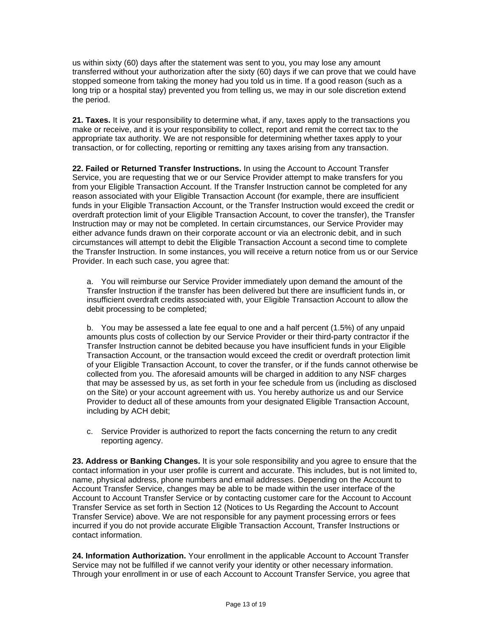us within sixty (60) days after the statement was sent to you, you may lose any amount transferred without your authorization after the sixty (60) days if we can prove that we could have stopped someone from taking the money had you told us in time. If a good reason (such as a long trip or a hospital stay) prevented you from telling us, we may in our sole discretion extend the period.

**21. Taxes.** It is your responsibility to determine what, if any, taxes apply to the transactions you make or receive, and it is your responsibility to collect, report and remit the correct tax to the appropriate tax authority. We are not responsible for determining whether taxes apply to your transaction, or for collecting, reporting or remitting any taxes arising from any transaction.

**22. Failed or Returned Transfer Instructions.** In using the Account to Account Transfer Service, you are requesting that we or our Service Provider attempt to make transfers for you from your Eligible Transaction Account. If the Transfer Instruction cannot be completed for any reason associated with your Eligible Transaction Account (for example, there are insufficient funds in your Eligible Transaction Account, or the Transfer Instruction would exceed the credit or overdraft protection limit of your Eligible Transaction Account, to cover the transfer), the Transfer Instruction may or may not be completed. In certain circumstances, our Service Provider may either advance funds drawn on their corporate account or via an electronic debit, and in such circumstances will attempt to debit the Eligible Transaction Account a second time to complete the Transfer Instruction. In some instances, you will receive a return notice from us or our Service Provider. In each such case, you agree that:

a. You will reimburse our Service Provider immediately upon demand the amount of the Transfer Instruction if the transfer has been delivered but there are insufficient funds in, or insufficient overdraft credits associated with, your Eligible Transaction Account to allow the debit processing to be completed;

b. You may be assessed a late fee equal to one and a half percent (1.5%) of any unpaid amounts plus costs of collection by our Service Provider or their third-party contractor if the Transfer Instruction cannot be debited because you have insufficient funds in your Eligible Transaction Account, or the transaction would exceed the credit or overdraft protection limit of your Eligible Transaction Account, to cover the transfer, or if the funds cannot otherwise be collected from you. The aforesaid amounts will be charged in addition to any NSF charges that may be assessed by us, as set forth in your fee schedule from us (including as disclosed on the Site) or your account agreement with us. You hereby authorize us and our Service Provider to deduct all of these amounts from your designated Eligible Transaction Account, including by ACH debit;

c. Service Provider is authorized to report the facts concerning the return to any credit reporting agency.

**23. Address or Banking Changes.** It is your sole responsibility and you agree to ensure that the contact information in your user profile is current and accurate. This includes, but is not limited to, name, physical address, phone numbers and email addresses. Depending on the Account to Account Transfer Service, changes may be able to be made within the user interface of the Account to Account Transfer Service or by contacting customer care for the Account to Account Transfer Service as set forth in Section 12 (Notices to Us Regarding the Account to Account Transfer Service) above. We are not responsible for any payment processing errors or fees incurred if you do not provide accurate Eligible Transaction Account, Transfer Instructions or contact information.

24. Information Authorization. Your enrollment in the applicable Account to Account Transfer Service may not be fulfilled if we cannot verify your identity or other necessary information. Through your enrollment in or use of each Account to Account Transfer Service, you agree that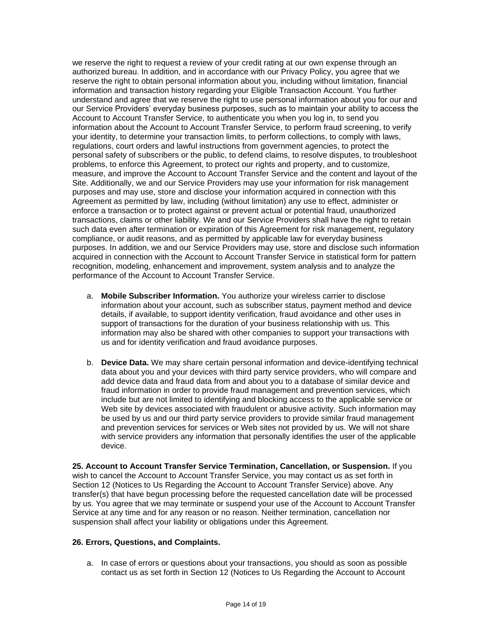we reserve the right to request a review of your credit rating at our own expense through an authorized bureau. In addition, and in accordance with our Privacy Policy, you agree that we reserve the right to obtain personal information about you, including without limitation, financial information and transaction history regarding your Eligible Transaction Account. You further understand and agree that we reserve the right to use personal information about you for our and our Service Providers' everyday business purposes, such as to maintain your ability to access the Account to Account Transfer Service, to authenticate you when you log in, to send you information about the Account to Account Transfer Service, to perform fraud screening, to verify your identity, to determine your transaction limits, to perform collections, to comply with laws, regulations, court orders and lawful instructions from government agencies, to protect the personal safety of subscribers or the public, to defend claims, to resolve disputes, to troubleshoot problems, to enforce this Agreement, to protect our rights and property, and to customize, measure, and improve the Account to Account Transfer Service and the content and layout of the Site. Additionally, we and our Service Providers may use your information for risk management purposes and may use, store and disclose your information acquired in connection with this Agreement as permitted by law, including (without limitation) any use to effect, administer or enforce a transaction or to protect against or prevent actual or potential fraud, unauthorized transactions, claims or other liability. We and our Service Providers shall have the right to retain such data even after termination or expiration of this Agreement for risk management, regulatory compliance, or audit reasons, and as permitted by applicable law for everyday business purposes. In addition, we and our Service Providers may use, store and disclose such information acquired in connection with the Account to Account Transfer Service in statistical form for pattern recognition, modeling, enhancement and improvement, system analysis and to analyze the performance of the Account to Account Transfer Service.

- a. **Mobile Subscriber Information.** You authorize your wireless carrier to disclose information about your account, such as subscriber status, payment method and device details, if available, to support identity verification, fraud avoidance and other uses in support of transactions for the duration of your business relationship with us. This information may also be shared with other companies to support your transactions with us and for identity verification and fraud avoidance purposes.
- b. **Device Data.** We may share certain personal information and device-identifying technical data about you and your devices with third party service providers, who will compare and add device data and fraud data from and about you to a database of similar device and fraud information in order to provide fraud management and prevention services, which include but are not limited to identifying and blocking access to the applicable service or Web site by devices associated with fraudulent or abusive activity. Such information may be used by us and our third party service providers to provide similar fraud management and prevention services for services or Web sites not provided by us. We will not share with service providers any information that personally identifies the user of the applicable device.

**25. Account to Account Transfer Service Termination, Cancellation, or Suspension.** If you wish to cancel the Account to Account Transfer Service, you may contact us as set forth in Section 12 (Notices to Us Regarding the Account to Account Transfer Service) above. Any transfer(s) that have begun processing before the requested cancellation date will be processed by us. You agree that we may terminate or suspend your use of the Account to Account Transfer Service at any time and for any reason or no reason. Neither termination, cancellation nor suspension shall affect your liability or obligations under this Agreement.

# **26. Errors, Questions, and Complaints.**

a. In case of errors or questions about your transactions, you should as soon as possible contact us as set forth in Section 12 (Notices to Us Regarding the Account to Account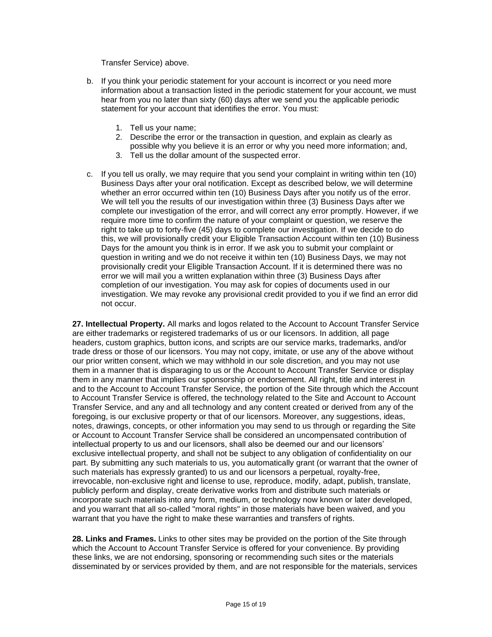Transfer Service) above.

- b. If you think your periodic statement for your account is incorrect or you need more information about a transaction listed in the periodic statement for your account, we must hear from you no later than sixty (60) days after we send you the applicable periodic statement for your account that identifies the error. You must:
	- 1. Tell us your name;
	- 2. Describe the error or the transaction in question, and explain as clearly as possible why you believe it is an error or why you need more information; and,
	- 3. Tell us the dollar amount of the suspected error.
- c. If you tell us orally, we may require that you send your complaint in writing within ten (10) Business Days after your oral notification. Except as described below, we will determine whether an error occurred within ten (10) Business Days after you notify us of the error. We will tell you the results of our investigation within three (3) Business Days after we complete our investigation of the error, and will correct any error promptly. However, if we require more time to confirm the nature of your complaint or question, we reserve the right to take up to forty-five (45) days to complete our investigation. If we decide to do this, we will provisionally credit your Eligible Transaction Account within ten (10) Business Days for the amount you think is in error. If we ask you to submit your complaint or question in writing and we do not receive it within ten (10) Business Days, we may not provisionally credit your Eligible Transaction Account. If it is determined there was no error we will mail you a written explanation within three (3) Business Days after completion of our investigation. You may ask for copies of documents used in our investigation. We may revoke any provisional credit provided to you if we find an error did not occur.

**27. Intellectual Property.** All marks and logos related to the Account to Account Transfer Service are either trademarks or registered trademarks of us or our licensors. In addition, all page headers, custom graphics, button icons, and scripts are our service marks, trademarks, and/or trade dress or those of our licensors. You may not copy, imitate, or use any of the above without our prior written consent, which we may withhold in our sole discretion, and you may not use them in a manner that is disparaging to us or the Account to Account Transfer Service or display them in any manner that implies our sponsorship or endorsement. All right, title and interest in and to the Account to Account Transfer Service, the portion of the Site through which the Account to Account Transfer Service is offered, the technology related to the Site and Account to Account Transfer Service, and any and all technology and any content created or derived from any of the foregoing, is our exclusive property or that of our licensors. Moreover, any suggestions, ideas, notes, drawings, concepts, or other information you may send to us through or regarding the Site or Account to Account Transfer Service shall be considered an uncompensated contribution of intellectual property to us and our licensors, shall also be deemed our and our licensors' exclusive intellectual property, and shall not be subject to any obligation of confidentiality on our part. By submitting any such materials to us, you automatically grant (or warrant that the owner of such materials has expressly granted) to us and our licensors a perpetual, royalty-free, irrevocable, non-exclusive right and license to use, reproduce, modify, adapt, publish, translate, publicly perform and display, create derivative works from and distribute such materials or incorporate such materials into any form, medium, or technology now known or later developed, and you warrant that all so-called "moral rights" in those materials have been waived, and you warrant that you have the right to make these warranties and transfers of rights.

**28. Links and Frames.** Links to other sites may be provided on the portion of the Site through which the Account to Account Transfer Service is offered for your convenience. By providing these links, we are not endorsing, sponsoring or recommending such sites or the materials disseminated by or services provided by them, and are not responsible for the materials, services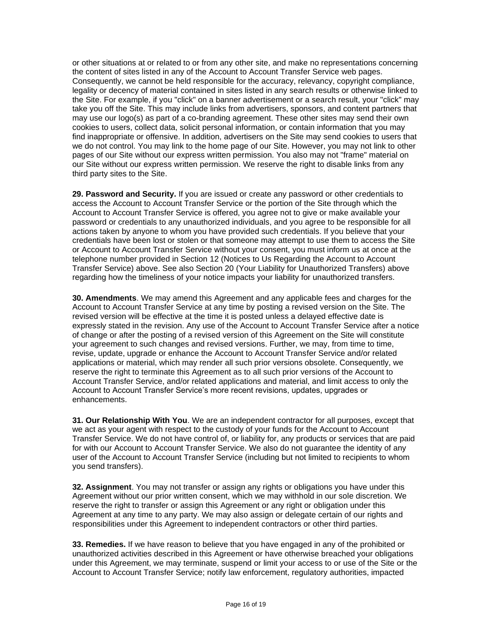or other situations at or related to or from any other site, and make no representations concerning the content of sites listed in any of the Account to Account Transfer Service web pages. Consequently, we cannot be held responsible for the accuracy, relevancy, copyright compliance, legality or decency of material contained in sites listed in any search results or otherwise linked to the Site. For example, if you "click" on a banner advertisement or a search result, your "click" may take you off the Site. This may include links from advertisers, sponsors, and content partners that may use our logo(s) as part of a co-branding agreement. These other sites may send their own cookies to users, collect data, solicit personal information, or contain information that you may find inappropriate or offensive. In addition, advertisers on the Site may send cookies to users that we do not control. You may link to the home page of our Site. However, you may not link to other pages of our Site without our express written permission. You also may not "frame" material on our Site without our express written permission. We reserve the right to disable links from any third party sites to the Site.

**29. Password and Security.** If you are issued or create any password or other credentials to access the Account to Account Transfer Service or the portion of the Site through which the Account to Account Transfer Service is offered, you agree not to give or make available your password or credentials to any unauthorized individuals, and you agree to be responsible for all actions taken by anyone to whom you have provided such credentials. If you believe that your credentials have been lost or stolen or that someone may attempt to use them to access the Site or Account to Account Transfer Service without your consent, you must inform us at once at the telephone number provided in Section 12 (Notices to Us Regarding the Account to Account Transfer Service) above. See also Section 20 (Your Liability for Unauthorized Transfers) above regarding how the timeliness of your notice impacts your liability for unauthorized transfers.

**30. Amendments**. We may amend this Agreement and any applicable fees and charges for the Account to Account Transfer Service at any time by posting a revised version on the Site. The revised version will be effective at the time it is posted unless a delayed effective date is expressly stated in the revision. Any use of the Account to Account Transfer Service after a notice of change or after the posting of a revised version of this Agreement on the Site will constitute your agreement to such changes and revised versions. Further, we may, from time to time, revise, update, upgrade or enhance the Account to Account Transfer Service and/or related applications or material, which may render all such prior versions obsolete. Consequently, we reserve the right to terminate this Agreement as to all such prior versions of the Account to Account Transfer Service, and/or related applications and material, and limit access to only the Account to Account Transfer Service's more recent revisions, updates, upgrades or enhancements.

**31. Our Relationship With You**. We are an independent contractor for all purposes, except that we act as your agent with respect to the custody of your funds for the Account to Account Transfer Service. We do not have control of, or liability for, any products or services that are paid for with our Account to Account Transfer Service. We also do not guarantee the identity of any user of the Account to Account Transfer Service (including but not limited to recipients to whom you send transfers).

**32. Assignment**. You may not transfer or assign any rights or obligations you have under this Agreement without our prior written consent, which we may withhold in our sole discretion. We reserve the right to transfer or assign this Agreement or any right or obligation under this Agreement at any time to any party. We may also assign or delegate certain of our rights and responsibilities under this Agreement to independent contractors or other third parties.

**33. Remedies.** If we have reason to believe that you have engaged in any of the prohibited or unauthorized activities described in this Agreement or have otherwise breached your obligations under this Agreement, we may terminate, suspend or limit your access to or use of the Site or the Account to Account Transfer Service; notify law enforcement, regulatory authorities, impacted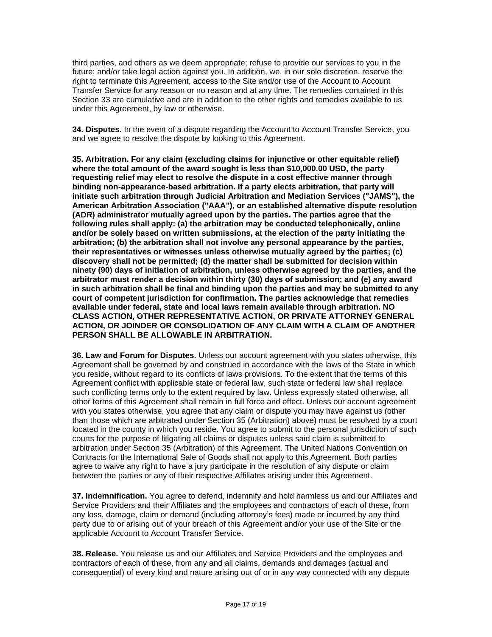third parties, and others as we deem appropriate; refuse to provide our services to you in the future; and/or take legal action against you. In addition, we, in our sole discretion, reserve the right to terminate this Agreement, access to the Site and/or use of the Account to Account Transfer Service for any reason or no reason and at any time. The remedies contained in this Section 33 are cumulative and are in addition to the other rights and remedies available to us under this Agreement, by law or otherwise.

**34. Disputes.** In the event of a dispute regarding the Account to Account Transfer Service, you and we agree to resolve the dispute by looking to this Agreement.

**35. Arbitration. For any claim (excluding claims for injunctive or other equitable relief) where the total amount of the award sought is less than \$10,000.00 USD, the party requesting relief may elect to resolve the dispute in a cost effective manner through binding non-appearance-based arbitration. If a party elects arbitration, that party will initiate such arbitration through Judicial Arbitration and Mediation Services ("JAMS"), the American Arbitration Association ("AAA"), or an established alternative dispute resolution (ADR) administrator mutually agreed upon by the parties. The parties agree that the following rules shall apply: (a) the arbitration may be conducted telephonically, online and/or be solely based on written submissions, at the election of the party initiating the arbitration; (b) the arbitration shall not involve any personal appearance by the parties, their representatives or witnesses unless otherwise mutually agreed by the parties; (c) discovery shall not be permitted; (d) the matter shall be submitted for decision within ninety (90) days of initiation of arbitration, unless otherwise agreed by the parties, and the arbitrator must render a decision within thirty (30) days of submission; and (e) any award in such arbitration shall be final and binding upon the parties and may be submitted to any court of competent jurisdiction for confirmation. The parties acknowledge that remedies available under federal, state and local laws remain available through arbitration. NO CLASS ACTION, OTHER REPRESENTATIVE ACTION, OR PRIVATE ATTORNEY GENERAL ACTION, OR JOINDER OR CONSOLIDATION OF ANY CLAIM WITH A CLAIM OF ANOTHER PERSON SHALL BE ALLOWABLE IN ARBITRATION.**

**36. Law and Forum for Disputes.** Unless our account agreement with you states otherwise, this Agreement shall be governed by and construed in accordance with the laws of the State in which you reside, without regard to its conflicts of laws provisions. To the extent that the terms of this Agreement conflict with applicable state or federal law, such state or federal law shall replace such conflicting terms only to the extent required by law. Unless expressly stated otherwise, all other terms of this Agreement shall remain in full force and effect. Unless our account agreement with you states otherwise, you agree that any claim or dispute you may have against us (other than those which are arbitrated under Section 35 (Arbitration) above) must be resolved by a court located in the county in which you reside. You agree to submit to the personal jurisdiction of such courts for the purpose of litigating all claims or disputes unless said claim is submitted to arbitration under Section 35 (Arbitration) of this Agreement. The United Nations Convention on Contracts for the International Sale of Goods shall not apply to this Agreement. Both parties agree to waive any right to have a jury participate in the resolution of any dispute or claim between the parties or any of their respective Affiliates arising under this Agreement.

**37. Indemnification.** You agree to defend, indemnify and hold harmless us and our Affiliates and Service Providers and their Affiliates and the employees and contractors of each of these, from any loss, damage, claim or demand (including attorney's fees) made or incurred by any third party due to or arising out of your breach of this Agreement and/or your use of the Site or the applicable Account to Account Transfer Service.

**38. Release.** You release us and our Affiliates and Service Providers and the employees and contractors of each of these, from any and all claims, demands and damages (actual and consequential) of every kind and nature arising out of or in any way connected with any dispute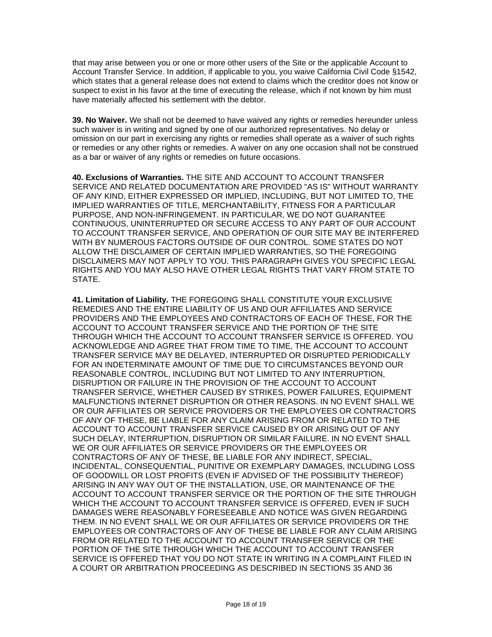that may arise between you or one or more other users of the Site or the applicable Account to Account Transfer Service. In addition, if applicable to you, you waive California Civil Code §1542, which states that a general release does not extend to claims which the creditor does not know or suspect to exist in his favor at the time of executing the release, which if not known by him must have materially affected his settlement with the debtor.

**39. No Waiver.** We shall not be deemed to have waived any rights or remedies hereunder unless such waiver is in writing and signed by one of our authorized representatives. No delay or omission on our part in exercising any rights or remedies shall operate as a waiver of such rights or remedies or any other rights or remedies. A waiver on any one occasion shall not be construed as a bar or waiver of any rights or remedies on future occasions.

**40. Exclusions of Warranties.** THE SITE AND ACCOUNT TO ACCOUNT TRANSFER SERVICE AND RELATED DOCUMENTATION ARE PROVIDED "AS IS" WITHOUT WARRANTY OF ANY KIND, EITHER EXPRESSED OR IMPLIED, INCLUDING, BUT NOT LIMITED TO, THE IMPLIED WARRANTIES OF TITLE, MERCHANTABILITY, FITNESS FOR A PARTICULAR PURPOSE, AND NON-INFRINGEMENT. IN PARTICULAR, WE DO NOT GUARANTEE CONTINUOUS, UNINTERRUPTED OR SECURE ACCESS TO ANY PART OF OUR ACCOUNT TO ACCOUNT TRANSFER SERVICE, AND OPERATION OF OUR SITE MAY BE INTERFERED WITH BY NUMEROUS FACTORS OUTSIDE OF OUR CONTROL. SOME STATES DO NOT ALLOW THE DISCLAIMER OF CERTAIN IMPLIED WARRANTIES, SO THE FOREGOING DISCLAIMERS MAY NOT APPLY TO YOU. THIS PARAGRAPH GIVES YOU SPECIFIC LEGAL RIGHTS AND YOU MAY ALSO HAVE OTHER LEGAL RIGHTS THAT VARY FROM STATE TO STATE.

**41. Limitation of Liability.** THE FOREGOING SHALL CONSTITUTE YOUR EXCLUSIVE REMEDIES AND THE ENTIRE LIABILITY OF US AND OUR AFFILIATES AND SERVICE PROVIDERS AND THE EMPLOYEES AND CONTRACTORS OF EACH OF THESE, FOR THE ACCOUNT TO ACCOUNT TRANSFER SERVICE AND THE PORTION OF THE SITE THROUGH WHICH THE ACCOUNT TO ACCOUNT TRANSFER SERVICE IS OFFERED. YOU ACKNOWLEDGE AND AGREE THAT FROM TIME TO TIME, THE ACCOUNT TO ACCOUNT TRANSFER SERVICE MAY BE DELAYED, INTERRUPTED OR DISRUPTED PERIODICALLY FOR AN INDETERMINATE AMOUNT OF TIME DUE TO CIRCUMSTANCES BEYOND OUR REASONABLE CONTROL, INCLUDING BUT NOT LIMITED TO ANY INTERRUPTION, DISRUPTION OR FAILURE IN THE PROVISION OF THE ACCOUNT TO ACCOUNT TRANSFER SERVICE, WHETHER CAUSED BY STRIKES, POWER FAILURES, EQUIPMENT MALFUNCTIONS INTERNET DISRUPTION OR OTHER REASONS. IN NO EVENT SHALL WE OR OUR AFFILIATES OR SERVICE PROVIDERS OR THE EMPLOYEES OR CONTRACTORS OF ANY OF THESE, BE LIABLE FOR ANY CLAIM ARISING FROM OR RELATED TO THE ACCOUNT TO ACCOUNT TRANSFER SERVICE CAUSED BY OR ARISING OUT OF ANY SUCH DELAY, INTERRUPTION, DISRUPTION OR SIMILAR FAILURE. IN NO EVENT SHALL WE OR OUR AFFILIATES OR SERVICE PROVIDERS OR THE EMPLOYEES OR CONTRACTORS OF ANY OF THESE, BE LIABLE FOR ANY INDIRECT, SPECIAL, INCIDENTAL, CONSEQUENTIAL, PUNITIVE OR EXEMPLARY DAMAGES, INCLUDING LOSS OF GOODWILL OR LOST PROFITS (EVEN IF ADVISED OF THE POSSIBILITY THEREOF) ARISING IN ANY WAY OUT OF THE INSTALLATION, USE, OR MAINTENANCE OF THE ACCOUNT TO ACCOUNT TRANSFER SERVICE OR THE PORTION OF THE SITE THROUGH WHICH THE ACCOUNT TO ACCOUNT TRANSFER SERVICE IS OFFERED, EVEN IF SUCH DAMAGES WERE REASONABLY FORESEEABLE AND NOTICE WAS GIVEN REGARDING THEM. IN NO EVENT SHALL WE OR OUR AFFILIATES OR SERVICE PROVIDERS OR THE EMPLOYEES OR CONTRACTORS OF ANY OF THESE BE LIABLE FOR ANY CLAIM ARISING FROM OR RELATED TO THE ACCOUNT TO ACCOUNT TRANSFER SERVICE OR THE PORTION OF THE SITE THROUGH WHICH THE ACCOUNT TO ACCOUNT TRANSFER SERVICE IS OFFERED THAT YOU DO NOT STATE IN WRITING IN A COMPLAINT FILED IN A COURT OR ARBITRATION PROCEEDING AS DESCRIBED IN SECTIONS 35 AND 36